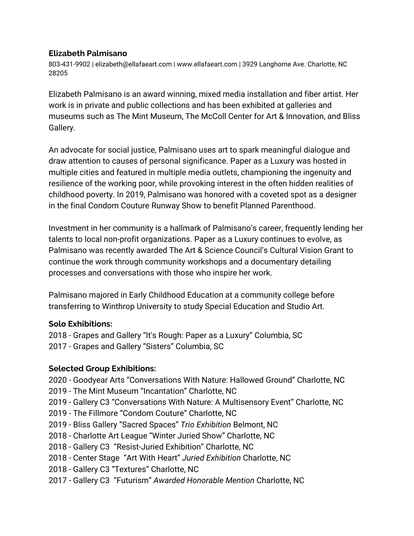#### **Elizabeth Palmisano**

803-431-9902 | elizabeth@ellafaeart.com | www.ellafaeart.com | 3929 Langhorne Ave. Charlotte, NC 28205

Elizabeth Palmisano is an award winning, mixed media installation and fiber artist. Her work is in private and public collections and has been exhibited at galleries and museums such as The Mint Museum, The McColl Center for Art & Innovation, and Bliss Gallery.

An advocate for social justice, Palmisano uses art to spark meaningful dialogue and draw attention to causes of personal significance. Paper as a Luxury was hosted in multiple cities and featured in multiple media outlets, championing the ingenuity and resilience of the working poor, while provoking interest in the often hidden realities of childhood poverty. In 2019, Palmisano was honored with a coveted spot as a designer in the final Condom Couture Runway Show to benefit Planned Parenthood.

Investment in her community is a hallmark of Palmisano's career, frequently lending her talents to local non-profit organizations. Paper as a Luxury continues to evolve, as Palmisano was recently awarded The Art & Science Council's Cultural Vision Grant to continue the work through community workshops and a [documentary](https://vimeo.com/315872219) detailing processes and conversations with those who inspire her work.

Palmisano majored in Early Childhood Education at a community college before transferring to Winthrop University to study Special Education and Studio Art.

### **Solo Exhibitions:**

2018 - Grapes and Gallery "It's Rough: Paper as a Luxury" Columbia, SC 2017 - Grapes and Gallery "Sisters"Columbia, SC

### **Selected Group Exhibitions:**

2020 - Goodyear Arts "Conversations With Nature: Hallowed Ground" Charlotte, NC

- 2019 The Mint Museum "Incantation" Charlotte, NC
- 2019 Gallery C3 "Conversations With Nature: A Multisensory Event" Charlotte, NC
- 2019 The Fillmore "Condom Couture" Charlotte, NC
- 2019 Bliss Gallery "Sacred Spaces" *Trio Exhibition* Belmont, NC
- 2018 Charlotte Art League "Winter Juried Show"Charlotte, NC
- 2018 Gallery C3 "Resist-Juried Exhibition" Charlotte, NC
- 2018 Center Stage "Art With Heart" *Juried Exhibition* Charlotte, NC
- 2018 Gallery C3 "Textures"Charlotte, NC
- 2017 Gallery C3 "Futurism" *Awarded Honorable Mention* Charlotte, NC